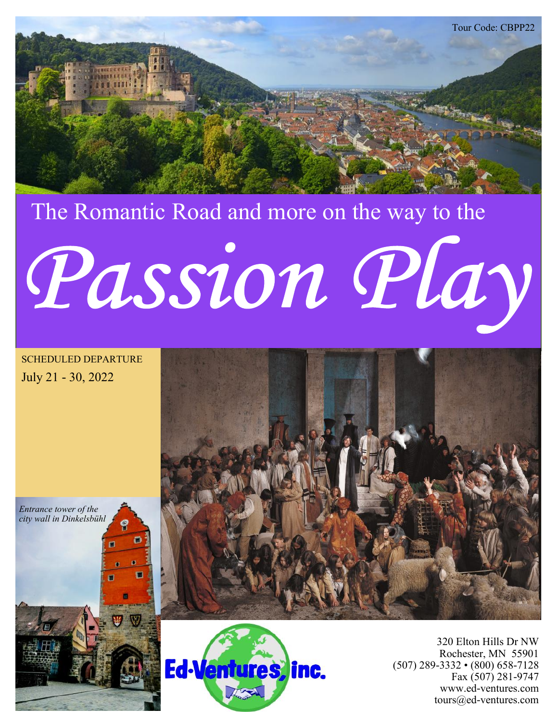

# The Romantic Road and more on the way to the Passion Play

SCHEDULED DEPARTURE July 21 - 30, 2022

*Entrance tower of the city wall in Dinkelsbühl*





320 Elton Hills Dr NW Rochester, MN 55901 (507) 289-3332 • (800) 658-7128 Fax (507) 281-9747 www.ed-ventures.com tours@ed-ventures.com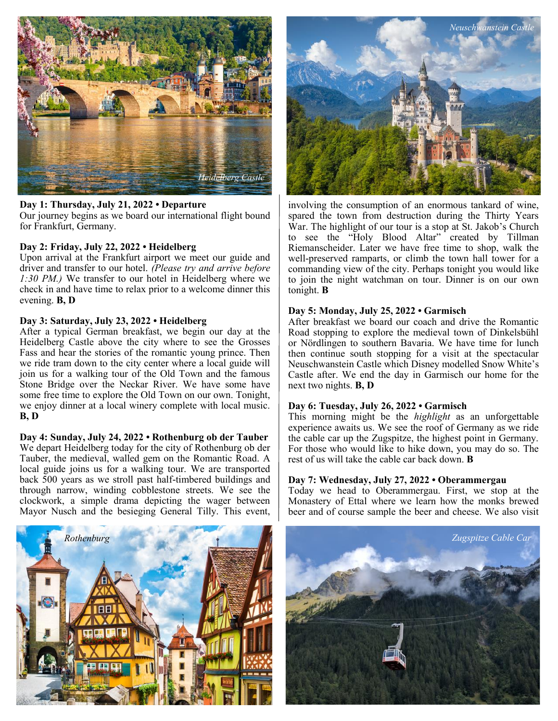

# **Day 1: Thursday, July 21, 2022 • Departure**

Our journey begins as we board our international flight bound for Frankfurt, Germany.

# **Day 2: Friday, July 22, 2022 • Heidelberg**

Upon arrival at the Frankfurt airport we meet our guide and driver and transfer to our hotel. *(Please try and arrive before 1:30 PM.)* We transfer to our hotel in Heidelberg where we check in and have time to relax prior to a welcome dinner this evening. **B, D**

# **Day 3: Saturday, July 23, 2022 • Heidelberg**

After a typical German breakfast, we begin our day at the Heidelberg Castle above the city where to see the Grosses Fass and hear the stories of the romantic young prince. Then we ride tram down to the city center where a local guide will join us for a walking tour of the Old Town and the famous Stone Bridge over the Neckar River. We have some have some free time to explore the Old Town on our own. Tonight, we enjoy dinner at a local winery complete with local music. **B, D**

# **Day 4: Sunday, July 24, 2022 • Rothenburg ob der Tauber**

We depart Heidelberg today for the city of Rothenburg ob der Tauber, the medieval, walled gem on the Romantic Road. A local guide joins us for a walking tour. We are transported back 500 years as we stroll past half-timbered buildings and through narrow, winding cobblestone streets. We see the clockwork, a simple drama depicting the wager between Mayor Nusch and the besieging General Tilly. This event,





involving the consumption of an enormous tankard of wine, spared the town from destruction during the Thirty Years War. The highlight of our tour is a stop at St. Jakob's Church to see the "Holy Blood Altar" created by Tillman Riemanscheider. Later we have free time to shop, walk the well-preserved ramparts, or climb the town hall tower for a commanding view of the city. Perhaps tonight you would like to join the night watchman on tour. Dinner is on our own tonight. **B**

# **Day 5: Monday, July 25, 2022 • Garmisch**

After breakfast we board our coach and drive the Romantic Road stopping to explore the medieval town of Dinkelsbühl or Nördlingen to southern Bavaria. We have time for lunch then continue south stopping for a visit at the spectacular Neuschwanstein Castle which Disney modelled Snow White's Castle after. We end the day in Garmisch our home for the next two nights. **B, D**

# **Day 6: Tuesday, July 26, 2022 • Garmisch**

This morning might be the *highlight* as an unforgettable experience awaits us. We see the roof of Germany as we ride the cable car up the Zugspitze, the highest point in Germany. For those who would like to hike down, you may do so. The rest of us will take the cable car back down. **B**

# **Day 7: Wednesday, July 27, 2022 • Oberammergau**

Today we head to Oberammergau. First, we stop at the Monastery of Ettal where we learn how the monks brewed beer and of course sample the beer and cheese. We also visit

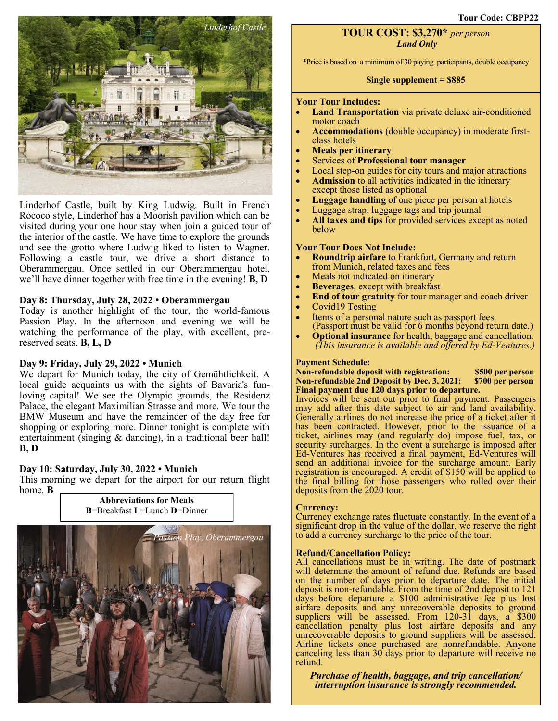**Tour Code: CBPP22**



Linderhof Castle, built by King Ludwig. Built in French Rococo style, Linderhof has a Moorish pavilion which can be visited during your one hour stay when join a guided tour of the interior of the castle. We have time to explore the grounds and see the grotto where Ludwig liked to listen to Wagner. Following a castle tour, we drive a short distance to Oberammergau. Once settled in our Oberammergau hotel, we'll have dinner together with free time in the evening! **B, D**

# **Day 8: Thursday, July 28, 2022 • Oberammergau**

Today is another highlight of the tour, the world-famous Passion Play. In the afternoon and evening we will be watching the performance of the play, with excellent, prereserved seats. **B, L, D**

# **Day 9: Friday, July 29, 2022 • Munich**

We depart for Munich today, the city of Gemühtlichkeit. A local guide acquaints us with the sights of Bavaria's funloving capital! We see the Olympic grounds, the Residenz Palace, the elegant Maximilian Strasse and more. We tour the BMW Museum and have the remainder of the day free for shopping or exploring more. Dinner tonight is complete with entertainment (singing & dancing), in a traditional beer hall! **B, D**

# **Day 10: Saturday, July 30, 2022 • Munich**

This morning we depart for the airport for our return flight home. **B Abbreviations for Meals**



# **TOUR COST: \$3,270\*** *per person Land Only*

\*Price is based on a minimum of 30 paying participants, double occupancy

# **Single supplement = \$885**

# **Your Tour Includes:**

- **Land Transportation** via private deluxe air-conditioned motor coach
- **Accommodations** (double occupancy) in moderate firstclass hotels
- **Meals per itinerary**
- Services of **Professional tour manager**
- Local step-on guides for city tours and major attractions
- **Admission** to all activities indicated in the itinerary except those listed as optional
- **Luggage handling** of one piece per person at hotels
- Luggage strap, luggage tags and trip journal
- **All taxes and tips** for provided services except as noted below

# **Your Tour Does Not Include:**

- **Roundtrip airfare** to Frankfurt, Germany and return from Munich, related taxes and fees
- Meals not indicated on itinerary
- **Beverages**, except with breakfast
- **End of tour gratuity** for tour manager and coach driver
- Covid19 Testing
- Items of a personal nature such as passport fees. (Passport must be valid for 6 months beyond return date.)
- **Optional insurance** for health, baggage and cancellation.  *(This insurance is available and offered by Ed-Ventures.)*

# **Payment Schedule:**

**Non-refundable deposit with registration: \$500 per person Non-refundable 2nd Deposit by Dec. 3, 2021: Final payment due 120 days prior to departure.**

Invoices will be sent out prior to final payment. Passengers may add after this date subject to air and land availability. Generally airlines do not increase the price of a ticket after it has been contracted. However, prior to the issuance of a ticket, airlines may (and regularly do) impose fuel, tax, or security surcharges. In the event a surcharge is imposed after Ed-Ventures has received a final payment, Ed-Ventures will send an additional invoice for the surcharge amount. Early registration is encouraged. A credit of \$150 will be applied to the final billing for those passengers who rolled over their deposits from the 2020 tour.

# **Currency:**

Currency exchange rates fluctuate constantly. In the event of a significant drop in the value of the dollar, we reserve the right to add a currency surcharge to the price of the tour.

# **Refund/Cancellation Policy:**

All cancellations must be in writing. The date of postmark will determine the amount of refund due. Refunds are based on the number of days prior to departure date. The initial deposit is non-refundable. From the time of 2nd deposit to 121 days before departure a \$100 administrative fee plus lost airfare deposits and any unrecoverable deposits to ground suppliers will be assessed. From 120-31 days, a \$300 cancellation penalty plus lost airfare deposits and any unrecoverable deposits to ground suppliers will be assessed. Airline tickets once purchased are nonrefundable. Anyone canceling less than 30 days prior to departure will receive no refund.

*Purchase of health, baggage, and trip cancellation/ interruption insurance is strongly recommended.*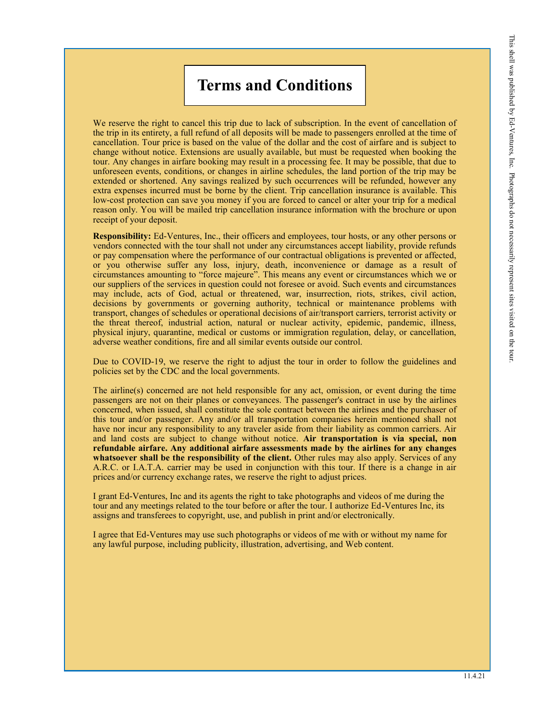# **Terms and Conditions**

We reserve the right to cancel this trip due to lack of subscription. In the event of cancellation of the trip in its entirety, a full refund of all deposits will be made to passengers enrolled at the time of cancellation. Tour price is based on the value of the dollar and the cost of airfare and is subject to change without notice. Extensions are usually available, but must be requested when booking the tour. Any changes in airfare booking may result in a processing fee. It may be possible, that due to unforeseen events, conditions, or changes in airline schedules, the land portion of the trip may be extended or shortened. Any savings realized by such occurrences will be refunded, however any extra expenses incurred must be borne by the client. Trip cancellation insurance is available. This low-cost protection can save you money if you are forced to cancel or alter your trip for a medical reason only. You will be mailed trip cancellation insurance information with the brochure or upon receipt of your deposit.

**Responsibility:** Ed-Ventures, Inc., their officers and employees, tour hosts, or any other persons or vendors connected with the tour shall not under any circumstances accept liability, provide refunds or pay compensation where the performance of our contractual obligations is prevented or affected, or you otherwise suffer any loss, injury, death, inconvenience or damage as a result of circumstances amounting to "force majeure". This means any event or circumstances which we or our suppliers of the services in question could not foresee or avoid. Such events and circumstances may include, acts of God, actual or threatened, war, insurrection, riots, strikes, civil action, decisions by governments or governing authority, technical or maintenance problems with transport, changes of schedules or operational decisions of air/transport carriers, terrorist activity or the threat thereof, industrial action, natural or nuclear activity, epidemic, pandemic, illness, physical injury, quarantine, medical or customs or immigration regulation, delay, or cancellation, adverse weather conditions, fire and all similar events outside our control.

Due to COVID-19, we reserve the right to adjust the tour in order to follow the guidelines and policies set by the CDC and the local governments.

The airline(s) concerned are not held responsible for any act, omission, or event during the time passengers are not on their planes or conveyances. The passenger's contract in use by the airlines concerned, when issued, shall constitute the sole contract between the airlines and the purchaser of this tour and/or passenger. Any and/or all transportation companies herein mentioned shall not have nor incur any responsibility to any traveler aside from their liability as common carriers. Air and land costs are subject to change without notice. **Air transportation is via special, non refundable airfare. Any additional airfare assessments made by the airlines for any changes whatsoever shall be the responsibility of the client.** Other rules may also apply. Services of any A.R.C. or I.A.T.A. carrier may be used in conjunction with this tour. If there is a change in air prices and/or currency exchange rates, we reserve the right to adjust prices.

I grant Ed-Ventures, Inc and its agents the right to take photographs and videos of me during the tour and any meetings related to the tour before or after the tour. I authorize Ed-Ventures Inc, its assigns and transferees to copyright, use, and publish in print and/or electronically.

I agree that Ed-Ventures may use such photographs or videos of me with or without my name for any lawful purpose, including publicity, illustration, advertising, and Web content.